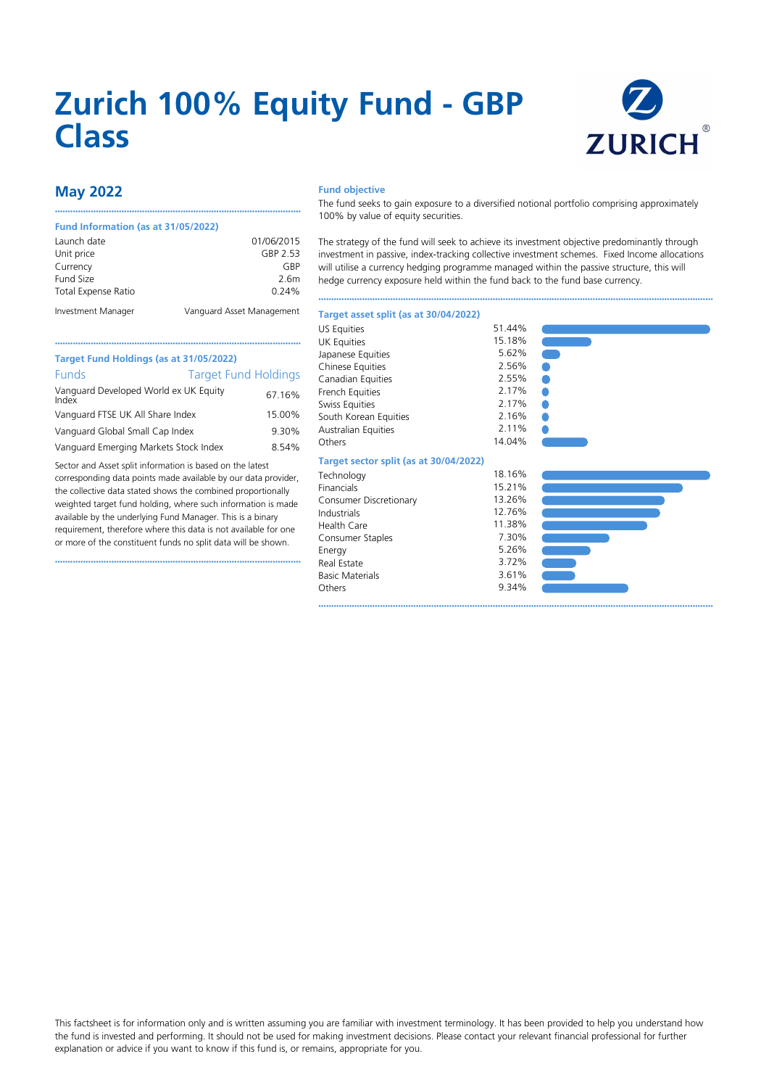# **Zurich 100% Equity Fund - GBP Class**



# **May 2022**

#### **Fund Information (as at 31/05/2022)**

| Launch date         | 01/06/2015                |
|---------------------|---------------------------|
| Unit price          | GBP 2.53                  |
| Currency            | GRP                       |
| Fund Size           | 2.6m                      |
| Total Expense Ratio | 0.24%                     |
| Investment Manager  | Vanguard Asset Management |

••••••••••••••••••••••••••••••••••••••••••••••••••••••••••••••••••••••••••••••••••••••••••••••••

### **Fund objective**

The fund seeks to gain exposure to a diversified notional portfolio comprising approximately 100% by value of equity securities.

The strategy of the fund will seek to achieve its investment objective predominantly through investment in passive, index-tracking collective investment schemes. Fixed Income allocations will utilise a currency hedging programme managed within the passive structure, this will hedge currency exposure held within the fund back to the fund base currency.

••••••••••••••••••••••••••••••••••••••••••••••••••••••••••••••••••••••••••••••••••••••••••••••••••••••••••••••••••••••••••••••••••••••••••••••••••••••••••

#### **Target asset split (as at 30/04/2022)**

| <b>Target Fund Holdings</b> |
|-----------------------------|
| 67.16%                      |
| 15.00%                      |
| 9.30%                       |
| 8.54%                       |
|                             |

Sector and Asset split information is based on the latest corresponding data points made available by our data provider, the collective data stated shows the combined proportionally weighted target fund holding, where such information is made available by the underlying Fund Manager. This is a binary requirement, therefore where this data is not available for one or more of the constituent funds no split data will be shown.

••••••••••••••••••••••••••••••••••••••••••••••••••••••••••••••••••••••••••••••••••••••••••••••••

| Canadian Equities                      | 2.55%  |
|----------------------------------------|--------|
| <b>French Equities</b>                 | 2.17%  |
| Swiss Equities                         | 2.17%  |
| South Korean Equities                  | 2.16%  |
| <b>Australian Equities</b>             | 2.11%  |
| Others                                 | 14.04% |
| Target sector split (as at 30/04/2022) |        |
| Technology                             | 18.16% |
| Financials                             | 15.21% |
| Consumer Discretionary                 | 13.26% |
| Industrials                            | 12.76% |
| Health Care                            | 11.38% |
| Consumer Staples                       | 7.30%  |
| Energy                                 | 5.26%  |
| Real Estate                            | 3.72%  |
| <b>Basic Materials</b>                 | 3.61%  |
| Others                                 | 9.34%  |